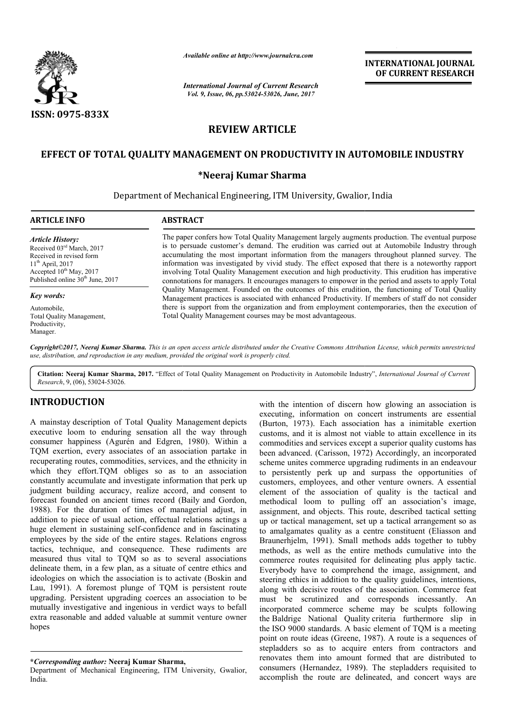

*International Journal of Current Research Vol. 9, Issue, 06, pp.53024-53026, June, 2017*

**INTERNATIONAL JOURNAL OF CURRENT RESEARCH** 

# **REVIEW ARTICLE**

## **EFFECT OF TOTAL QUALITY MANAGEMENT ON PRODUCTIVITY IN AUTOMOBILE INDUSTRY**

### **\*Neeraj Kumar Sharma**

Department of Mechanical Engineering, ITM University, Gwalior, Gwalior, India

# **ARTICLE INFO ABSTRACT**

*Article History:* Received 03rd March, 2017 Received in revised form 11th April, 2017 Accepted  $10^{th}$  May, 2017 Published online 30<sup>th</sup> June, 2017

*Key words:*

Automobile, Total Quality Management, Productivity, Manager.

The paper confers how Total Quality Management largely augments production. The eventual purpose is to persuade customer's demand. The erudition was carried out at Automobile Industry through accumulating the most important information from the managers throughout planned survey. The information was investigated by vivid study. The effect exposed that there is a noteworthy rapport involving Total Q Quality Management execution and high productivity. This erudition has imperative connotations for managers. It encourages managers to empower in the period and assets to apply Total is to persuade customer's demand. The erudition was carried out at Automobile Industry through accumulating the most important information from the managers throughout planned survey. The information was investigated by vi Management practices is associated with enhanced Productivity. If members of staff do not consider Management practices is associated with enhanced Productivity. If members of staff do not consider there is support from the organization and from employment contemporaries, then the execution of Total Quality Management courses may b be most advantageous. Available online at http://www.journalcra.com<br>
International Journal of Current Researc<br>
Vol. 9, Issue, 06, pp.53024-53026, June, 2017<br> **REVIEW ARTICLE**<br> **TY MANAGEMENT ON PRODUCTIV**<br>
\*Neeraj Kumar Sharma<br>
t of Mechanical

*Copyright©2017, Neeraj Kumar Sharma. This is an open access article distributed under the Creative Commons Att Attribution License, which ribution License, permits unrestricted use, distribution, and reproduction in any medium, provided the original work is properly cited.*

Citation: Neeraj Kumar Sharma, 2017. "Effect of Total Quality Management on Productivity in Automobile Industry", *International Journal of Current Research*, 9, (06), 53024-53026.

## **INTRODUCTION**

A mainstay description of Total Quality Management depicts executive loom to enduring sensation all the way through consumer happiness (Agurén and Edgren, 1980). Within a TQM exertion, every associates of an association partake in recuperating routes, commodities, services, and the ethnicity in which they effort.TOM obliges so as to an association constantly accumulate and investigate information that perk up judgment building accuracy, realize accord, and consent to forecast founded on ancient times record (Baily and Gordon, 1988). For the duration of times of managerial adjust, in addition to piece of usual action, effectual relations actings a huge element in sustaining self-confidence and in fascinating huge element in sustaining self-confidence and in fascinating<br>employees by the side of the entire stages. Relations engross tactics, technique, and consequence. These rudiments are measured thus vital to TQM so as to several associations delineate them, in a few plan, as a situate of centre ethics and ideologies on which the association is to activate (Boskin and Lau, 1991). A foremost plunge of TQM is persistent route upgrading. Persistent upgrading coerces an association to be mutually investigative and ingenious in verdict ways to befall extra reasonable and added valuable at summit venture owner hopes

with the intention of discern how glowing an association is executing, information on concert instruments are essential (Burton, 1973). Each association has a inimitable exertion customs, and it is almost not viable to attain excellence in its commodities and services except a superior quality customs has commodities and services except a superior quality customs has been advanced. (Carisson, 1972) Accordingly, an incorporated scheme unites commerce upgrading rudiments in an endeavour to persistently perk up and surpass the opportunities of customers, employees, and other venture owners. A essential element of the association of quality is the tactical and methodical loom to pulling off an association's image, assignment, and objects. This route, described tactical setting up or tactical management, set up a tactical methodical loom to pulling off an association's image, assignment, and objects. This route, described tactical setting up or tactical management, set up a tactical arrangement so as to amalgamates quality as a centre constituent (Eliasson and Braunerhjelm, 1991). Small methods adds together to tubby methods, as well as the entire methods cumulative into the commerce routes requisited for delineating plus apply tactic. Everybody have to comprehend the image, assignment, and Braunerhjelm, 1991). Small methods adds together to tubby methods, as well as the entire methods cumulative into the commerce routes requisited for delineating plus apply tactic. Everybody have to comprehend the image, ass along with decisive routes of the association. Commerce feat must be scrutinized and be corresponds incessantly. An incorporated commerce scheme may be sculpts following the Baldrige National Quality criteria furthermore slip in the ISO 9000 standards. A basic element of TQM is a meeting the ISO 9000 standards. A basic element of TQM is a meeting point on route ideas (Greene, 1987). A route is a sequences of stepladders so as to acquire enters from contractors and renovates them into amount formed that are distributed to renovates them into amount formed that are distributed to consumers (Hernandez, 1989). The stepladders requisited to accomplish the route are delineated, and concert ways are intention of discern how glowing an association is<br>, information on concert instruments are essential<br>1973). Each association has a inimitable exertion<br>and it is almost not viable to attain excellence in its

**<sup>\*</sup>***Corresponding author:* **Neeraj Kumar Sharma Sharma,**

Department of Mechanical Engineering, ITM University, Gwalior, India.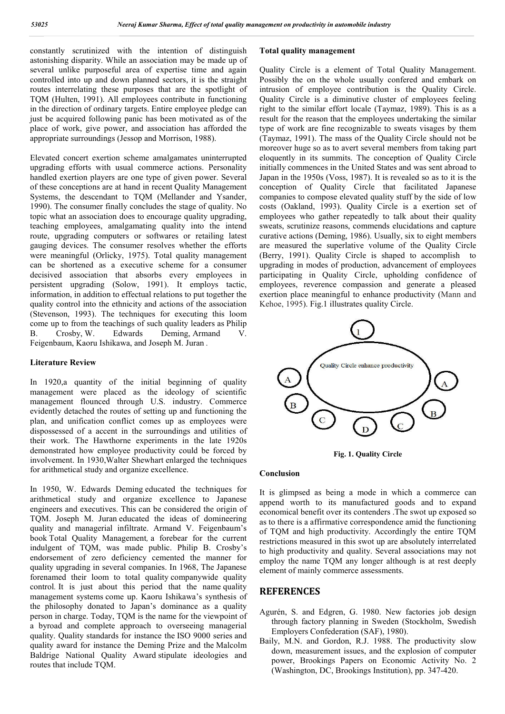constantly scrutinized with the intention of distinguish astonishing disparity. While an association may be made up of several unlike purposeful area of expertise time and again controlled into up and down planned sectors, it is the straight routes interrelating these purposes that are the spotlight of TQM (Hulten, 1991). All employees contribute in functioning in the direction of ordinary targets. Entire employee pledge can just be acquired following panic has been motivated as of the place of work, give power, and association has afforded the appropriate surroundings (Jessop and Morrison, 1988).

Elevated concert exertion scheme amalgamates uninterrupted upgrading efforts with usual commerce actions. Personality handled exertion players are one type of given power. Several of these conceptions are at hand in recent Quality Management Systems, the descendant to TQM (Mellander and Ysander, 1990). The consumer finally concludes the stage of quality. No topic what an association does to encourage quality upgrading, teaching employees, amalgamating quality into the intend route, upgrading computers or softwares or retailing latest gauging devices. The consumer resolves whether the efforts were meaningful (Orlicky, 1975). Total quality management can be shortened as a executive scheme for a consumer decisived association that absorbs every employees in persistent upgrading (Solow, 1991). It employs tactic, information, in addition to effectual relations to put together the quality control into the ethnicity and actions of the association (Stevenson, 1993). The techniques for executing this loom come up to from the teachings of such quality leaders as Philip B. Crosby, W. Edwards Deming, Armand V. Feigenbaum, Kaoru Ishikawa, and Joseph M. Juran *.* 

#### **Literature Review**

In 1920,a quantity of the initial beginning of quality management were placed as the ideology of scientific management flounced through U.S. industry. Commerce evidently detached the routes of setting up and functioning the plan, and unification conflict comes up as employees were dispossessed of a accent in the surroundings and utilities of their work. The Hawthorne experiments in the late 1920s demonstrated how employee productivity could be forced by involvement. In 1930,Walter Shewhart enlarged the techniques for arithmetical study and organize excellence.

In 1950, W. Edwards Deming educated the techniques for arithmetical study and organize excellence to Japanese engineers and executives. This can be considered the origin of TQM. Joseph M. Juran educated the ideas of domineering quality and managerial infiltrate. Armand V. Feigenbaum's book Total Quality Management*,* a forebear for the current indulgent of TQM, was made public. Philip B. Crosby's endorsement of zero deficiency cemented the manner for quality upgrading in several companies. In 1968, The Japanese forenamed their loom to total quality companywide quality control*.* It is just about this period that the name quality management systems come up. Kaoru Ishikawa's synthesis of the philosophy donated to Japan's dominance as a quality person in charge. Today, TQM is the name for the viewpoint of a byroad and complete approach to overseeing managerial quality. Quality standards for instance the ISO 9000 series and quality award for instance the Deming Prize and the Malcolm Baldrige National Quality Award stipulate ideologies and routes that include TQM.

### **Total quality management**

Quality Circle is a element of Total Quality Management. Possibly the on the whole usually confered and embark on intrusion of employee contribution is the Quality Circle. Quality Circle is a diminutive cluster of employees feeling right to the similar effort locale (Taymaz, 1989). This is as a result for the reason that the employees undertaking the similar type of work are fine recognizable to sweats visages by them (Taymaz, 1991). The mass of the Quality Circle should not be moreover huge so as to avert several members from taking part eloquently in its summits. The conception of Quality Circle initially commences in the United States and was sent abroad to Japan in the 1950s (Voss, 1987). It is revealed so as to it is the conception of Quality Circle that facilitated Japanese companies to compose elevated quality stuff by the side of low costs (Oakland, 1993). Quality Circle is a exertion set of employees who gather repeatedly to talk about their quality sweats, scrutinize reasons, commends elucidations and capture curative actions (Deming, 1986). Usually, six to eight members are measured the superlative volume of the Quality Circle (Berry, 1991). Quality Circle is shaped to accomplish to upgrading in modes of production, advancement of employees participating in Quality Circle, upholding confidence of employees, reverence compassion and generate a pleased exertion place meaningful to enhance productivity (Mann and Kehoe, 1995). Fig.1 illustrates quality Circle.



**Fig. 1. Quality Circle**

#### **Conclusion**

It is glimpsed as being a mode in which a commerce can append worth to its manufactured goods and to expand economical benefit over its contenders .The swot up exposed so as to there is a affirmative correspondence amid the functioning of TQM and high productivity. Accordingly the entire TQM restrictions measured in this swot up are absolutely interrelated to high productivity and quality. Several associations may not employ the name TQM any longer although is at rest deeply element of mainly commerce assessments.

### **REFERENCES**

- Agurén, S. and Edgren, G. 1980. New factories job design through factory planning in Sweden (Stockholm, Swedish Employers Confederation (SAF), 1980).
- Baily, M.N. and Gordon, R.J. 1988. The productivity slow down, measurement issues, and the explosion of computer power, Brookings Papers on Economic Activity No. 2 (Washington, DC, Brookings Institution), pp. 347-420.